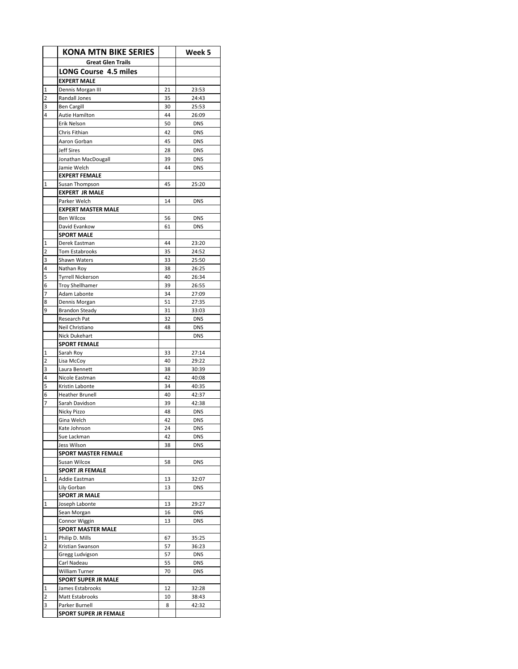|                         | <b>KONA MTN BIKE SERIES</b>            |         | Week 5         |
|-------------------------|----------------------------------------|---------|----------------|
|                         | <b>Great Glen Trails</b>               |         |                |
|                         | LONG Course 4.5 miles                  |         |                |
|                         | <b>EXPERT MALE</b>                     |         |                |
| 1                       | Dennis Morgan III                      | 21      | 23:53          |
| $\overline{\mathbf{c}}$ | Randall Jones                          | 35      | 24:43          |
| 3                       | <b>Ben Cargill</b>                     | 30      | 25:53          |
| 4                       | <b>Autie Hamilton</b>                  | 44      | 26:09          |
|                         | Erik Nelson                            | 50      | <b>DNS</b>     |
|                         | Chris Fithian                          | 42      | <b>DNS</b>     |
|                         | Aaron Gorban                           | 45      | <b>DNS</b>     |
|                         | <b>Jeff Sires</b>                      | 28      | <b>DNS</b>     |
|                         | Jonathan MacDougall                    | 39      | <b>DNS</b>     |
|                         | Jamie Welch                            | 44      | <b>DNS</b>     |
|                         | <b>EXPERT FEMALE</b>                   |         |                |
| 1                       | Susan Thompson                         | 45      | 25:20          |
|                         | <b>EXPERT JR MALE</b><br>Parker Welch  | 14      | <b>DNS</b>     |
|                         | <b>EXPERT MASTER MALE</b>              |         |                |
|                         | <b>Ben Wilcox</b>                      | 56      | <b>DNS</b>     |
|                         | David Evankow                          | 61      | <b>DNS</b>     |
|                         | <b>SPORT MALE</b>                      |         |                |
| 1                       | Derek Eastman                          | 44      | 23:20          |
| 2                       | <b>Tom Estabrooks</b>                  | 35      | 24:52          |
| 3                       | Shawn Waters                           | 33      | 25:50          |
| 4                       | Nathan Roy                             | 38      | 26:25          |
| 5                       | <b>Tyrrell Nickerson</b>               | 40      | 26:34          |
| 6                       | <b>Troy Shellhamer</b>                 | 39      | 26:55          |
| 7                       | <b>Adam Labonte</b>                    | 34      | 27:09          |
| 8                       | Dennis Morgan                          | 51      | 27:35          |
| 9                       | <b>Brandon Steady</b>                  | 31      | 33:03          |
|                         | Research Pat                           | 32      | <b>DNS</b>     |
|                         | Neil Christiano                        | 48      | <b>DNS</b>     |
|                         | Nick Dukehart<br><b>SPORT FEMALE</b>   |         | <b>DNS</b>     |
| 1                       | Sarah Roy                              | 33      | 27:14          |
| 2                       | Lisa McCoy                             | 40      | 29:22          |
| 3                       | Laura Bennett                          | 38      | 30:39          |
| 4                       | Nicole Eastman                         | 42      | 40:08          |
| 5                       | Kristin Labonte                        | 34      | 40:35          |
| 6                       | <b>Heather Brunell</b>                 | 40      | 42:37          |
| 7                       | Sarah Davidson                         | 39      | 42:38          |
|                         | Nicky Pizzo                            | 48      | <b>DNS</b>     |
|                         | Gina Welch                             | 42      | <b>DNS</b>     |
|                         | Kate Johnson                           | 24      | <b>DNS</b>     |
|                         | Sue Lackman                            | 42      | <b>DNS</b>     |
|                         | Jess Wilson                            | 38      | <b>DNS</b>     |
|                         | <b>SPORT MASTER FEMALE</b>             |         |                |
|                         | Susan Wilcox<br><b>SPORT JR FEMALE</b> | 58      | <b>DNS</b>     |
| 1                       | Addie Eastman                          | 13      | 32:07          |
|                         | Lily Gorban                            | 13      | <b>DNS</b>     |
|                         | <b>SPORT JR MALE</b>                   |         |                |
| 1                       | Joseph Labonte                         | 13      | 29:27          |
|                         | Sean Morgan                            | 16      | <b>DNS</b>     |
|                         | Connor Wiggin                          | 13      | <b>DNS</b>     |
|                         | <b>SPORT MASTER MALE</b>               |         |                |
| 1                       | Philip D. Mills                        | 67      | 35:25          |
| 2                       | Kristian Swanson                       | 57      | 36:23          |
|                         | Gregg Ludvigson                        | 57      | <b>DNS</b>     |
|                         | Carl Nadeau                            | 55      | <b>DNS</b>     |
|                         | William Turner                         | 70      | <b>DNS</b>     |
|                         | <b>SPORT SUPER JR MALE</b>             |         |                |
| 1                       | James Estabrooks                       | 12      | 32:28          |
| 2<br>3                  | Matt Estabrooks<br>Parker Burnell      | 10<br>8 | 38:43<br>42:32 |
|                         | SPORT SUPER JR FEMALE                  |         |                |
|                         |                                        |         |                |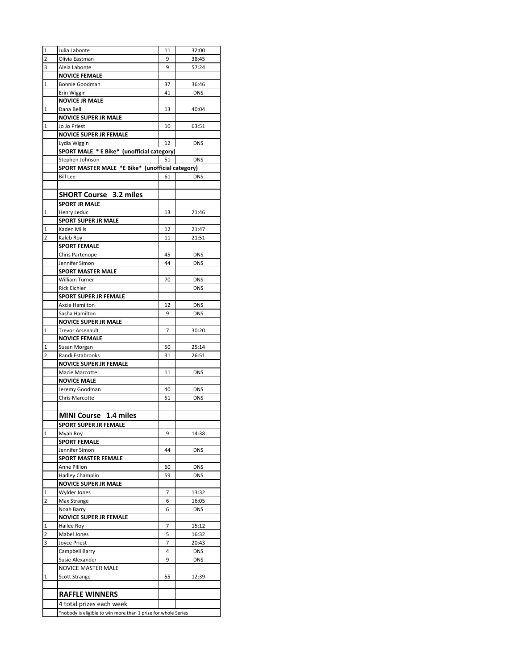| $\mathbf 1$    | Julia Labonte                                                 | 11 | 32:00      |  |
|----------------|---------------------------------------------------------------|----|------------|--|
| $\overline{2}$ | Olivia Eastman                                                | 9  | 38:45      |  |
| 3              | Aleia Labonte                                                 | 9  | 57:24      |  |
|                | <b>NOVICE FEMALE</b>                                          |    |            |  |
| 1              | Bonnie Goodman                                                | 37 | 36:46      |  |
|                | Erin Wiggin                                                   | 41 | <b>DNS</b> |  |
|                | <b>NOVICE JR MALE</b>                                         |    |            |  |
| $\mathbf 1$    | Dana Bell                                                     | 13 | 40:04      |  |
|                | <b>NOVICE SUPER JR MALE</b>                                   |    |            |  |
| 1              | Jo Jo Priest                                                  | 10 | 63:51      |  |
|                | NOVICE SUPER JR FEMALE                                        |    |            |  |
|                | Lydia Wiggin                                                  | 12 | <b>DNS</b> |  |
|                | SPORT MALE * E Bike* (unofficial category)                    |    |            |  |
|                | Stephen Johnson                                               | 51 | <b>DNS</b> |  |
|                | SPORT MASTER MALE *E Bike* (unofficial category)              |    |            |  |
|                | <b>Bill Lee</b>                                               | 61 | <b>DNS</b> |  |
|                |                                                               |    |            |  |
|                | <b>SHORT Course 3.2 miles</b>                                 |    |            |  |
|                |                                                               |    |            |  |
|                | <b>SPORT JR MALE</b>                                          |    |            |  |
| $\mathbf{1}$   | Henry Leduc                                                   | 13 | 21:46      |  |
|                | <b>SPORT SUPER JR MALE</b>                                    |    |            |  |
| 1              | Kaden Mills                                                   | 12 | 21:47      |  |
| 2              | Kaleb Roy                                                     | 11 | 21:51      |  |
|                | <b>SPORT FEMALE</b>                                           |    |            |  |
|                | Chris Partenope                                               | 45 | <b>DNS</b> |  |
|                | Jennifer Simon                                                | 44 | <b>DNS</b> |  |
|                | <b>SPORT MASTER MALE</b>                                      |    |            |  |
|                | William Turner                                                | 70 | <b>DNS</b> |  |
|                | <b>Rick Eichler</b>                                           |    | <b>DNS</b> |  |
|                | <b>SPORT SUPER JR FEMALE</b>                                  |    |            |  |
|                | Axcie Hamilton                                                | 12 | <b>DNS</b> |  |
|                | Sasha Hamilton                                                | 9  | <b>DNS</b> |  |
|                | <b>NOVICE SUPER JR MALE</b>                                   |    |            |  |
| 1              | Trevor Arsenault                                              | 7  | 30:20      |  |
|                | <b>NOVICE FEMALE</b>                                          |    |            |  |
| 1              | Susan Morgan                                                  | 50 | 25:14      |  |
| 2              | Randi Estabrooks<br><b>NOVICE SUPER JR FEMALE</b>             | 31 | 26:51      |  |
|                |                                                               |    |            |  |
|                | Macie Marcotte                                                | 11 | <b>DNS</b> |  |
|                | <b>NOVICE MALE</b>                                            |    |            |  |
|                | Jeremy Goodman                                                | 40 | <b>DNS</b> |  |
|                | Chris Marcotte                                                | 51 | <b>DNS</b> |  |
|                |                                                               |    |            |  |
|                | <b>MINI Course</b> 1.4 miles                                  |    |            |  |
|                | SPORT SUPER JR FEMALE                                         |    |            |  |
| 1              | Myah Roy                                                      | 9  | 14:38      |  |
|                | <b>SPORT FEMALE</b>                                           |    |            |  |
|                | Jennifer Simon                                                | 44 | <b>DNS</b> |  |
|                | <b>SPORT MASTER FEMALE</b>                                    |    |            |  |
|                | Anne Pillion                                                  | 60 | <b>DNS</b> |  |
|                | <b>Hadley Champlin</b>                                        | 59 | <b>DNS</b> |  |
|                | <b>NOVICE SUPER JR MALE</b>                                   |    |            |  |
| 1              | Wylder Jones                                                  | 7  | 13:32      |  |
| 2              | Max Strange                                                   | 6  | 16:05      |  |
|                | Noah Barry                                                    | 6  | <b>DNS</b> |  |
|                | <b>NOVICE SUPER JR FEMALE</b>                                 |    |            |  |
| 1              | Hailee Roy                                                    | 7  | 15:12      |  |
| 2              | Mabel Jones                                                   | 5  | 16:32      |  |
| 3              | Joyce Priest                                                  | 7  | 20:43      |  |
|                | Campbell Barry                                                | 4  | <b>DNS</b> |  |
|                | Susie Alexander                                               | 9  | <b>DNS</b> |  |
|                | NOVICE MASTER MALE                                            |    |            |  |
| 1              | <b>Scott Strange</b>                                          | 55 | 12:39      |  |
|                |                                                               |    |            |  |
|                | <b>RAFFLE WINNERS</b>                                         |    |            |  |
|                | 4 total prizes each week                                      |    |            |  |
|                | *nobody is eligible to win more than 1 prize for whole Series |    |            |  |